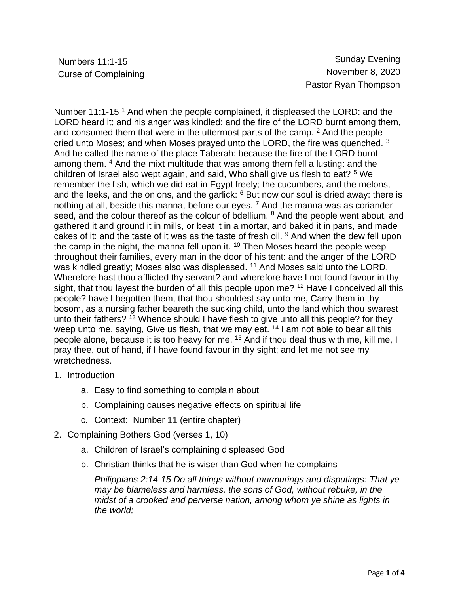Numbers 11:1-15 Sunday Evening Curse of Complaining **November 8, 2020** Pastor Ryan Thompson

Number 11:1-15<sup>1</sup> And when the people complained, it displeased the LORD: and the LORD heard it; and his anger was kindled; and the fire of the LORD burnt among them, and consumed them that were in the uttermost parts of the camp.  $2$  And the people cried unto Moses; and when Moses prayed unto the LORD, the fire was quenched. <sup>3</sup> And he called the name of the place Taberah: because the fire of the LORD burnt among them. <sup>4</sup> And the mixt multitude that was among them fell a lusting: and the children of Israel also wept again, and said, Who shall give us flesh to eat? <sup>5</sup> We remember the fish, which we did eat in Egypt freely; the cucumbers, and the melons, and the leeks, and the onions, and the garlick: <sup>6</sup> But now our soul is dried away: there is nothing at all, beside this manna, before our eyes.  $<sup>7</sup>$  And the manna was as coriander</sup> seed, and the colour thereof as the colour of bdellium. <sup>8</sup> And the people went about, and gathered it and ground it in mills, or beat it in a mortar, and baked it in pans, and made cakes of it: and the taste of it was as the taste of fresh oil.  $9$  And when the dew fell upon the camp in the night, the manna fell upon it. <sup>10</sup> Then Moses heard the people weep throughout their families, every man in the door of his tent: and the anger of the LORD was kindled greatly; Moses also was displeased. <sup>11</sup> And Moses said unto the LORD, Wherefore hast thou afflicted thy servant? and wherefore have I not found favour in thy sight, that thou layest the burden of all this people upon me? <sup>12</sup> Have I conceived all this people? have I begotten them, that thou shouldest say unto me, Carry them in thy bosom, as a nursing father beareth the sucking child, unto the land which thou swarest unto their fathers? <sup>13</sup> Whence should I have flesh to give unto all this people? for they weep unto me, saying, Give us flesh, that we may eat. <sup>14</sup> I am not able to bear all this people alone, because it is too heavy for me. <sup>15</sup> And if thou deal thus with me, kill me, I pray thee, out of hand, if I have found favour in thy sight; and let me not see my wretchedness.

- 1. Introduction
	- a. Easy to find something to complain about
	- b. Complaining causes negative effects on spiritual life
	- c. Context: Number 11 (entire chapter)
- 2. Complaining Bothers God (verses 1, 10)
	- a. Children of Israel's complaining displeased God
	- b. Christian thinks that he is wiser than God when he complains

*Philippians 2:14-15 Do all things without murmurings and disputings: That ye may be blameless and harmless, the sons of God, without rebuke, in the midst of a crooked and perverse nation, among whom ye shine as lights in the world;*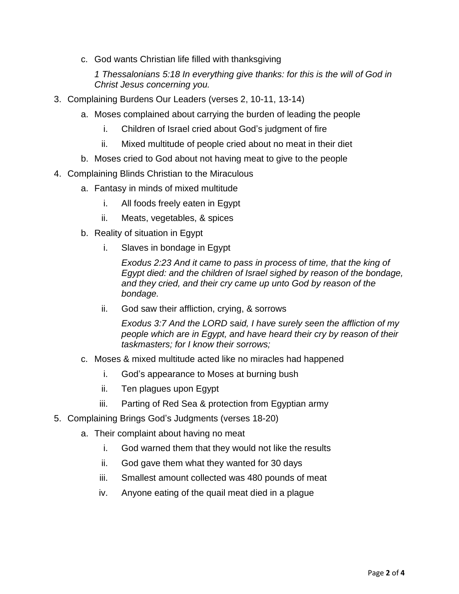c. God wants Christian life filled with thanksgiving

*1 Thessalonians 5:18 In everything give thanks: for this is the will of God in Christ Jesus concerning you.*

- 3. Complaining Burdens Our Leaders (verses 2, 10-11, 13-14)
	- a. Moses complained about carrying the burden of leading the people
		- i. Children of Israel cried about God's judgment of fire
		- ii. Mixed multitude of people cried about no meat in their diet
	- b. Moses cried to God about not having meat to give to the people
- 4. Complaining Blinds Christian to the Miraculous
	- a. Fantasy in minds of mixed multitude
		- i. All foods freely eaten in Egypt
		- ii. Meats, vegetables, & spices
	- b. Reality of situation in Egypt
		- i. Slaves in bondage in Egypt

*Exodus 2:23 And it came to pass in process of time, that the king of Egypt died: and the children of Israel sighed by reason of the bondage, and they cried, and their cry came up unto God by reason of the bondage.*

ii. God saw their affliction, crying, & sorrows

*Exodus 3:7 And the LORD said, I have surely seen the affliction of my people which are in Egypt, and have heard their cry by reason of their taskmasters; for I know their sorrows;*

- c. Moses & mixed multitude acted like no miracles had happened
	- i. God's appearance to Moses at burning bush
	- ii. Ten plagues upon Egypt
	- iii. Parting of Red Sea & protection from Egyptian army
- 5. Complaining Brings God's Judgments (verses 18-20)
	- a. Their complaint about having no meat
		- i. God warned them that they would not like the results
		- ii. God gave them what they wanted for 30 days
		- iii. Smallest amount collected was 480 pounds of meat
		- iv. Anyone eating of the quail meat died in a plague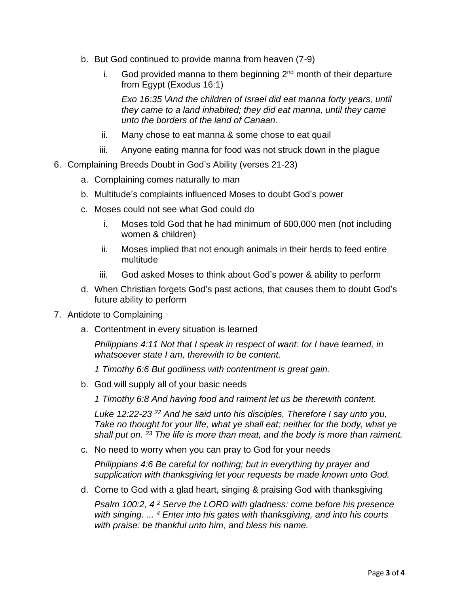- b. But God continued to provide manna from heaven (7-9)
	- i. God provided manna to them beginning  $2^{nd}$  month of their departure from Egypt (Exodus 16:1)

*Exo 16:35 \And the children of Israel did eat manna forty years, until they came to a land inhabited; they did eat manna, until they came unto the borders of the land of Canaan.*

- ii. Many chose to eat manna & some chose to eat quail
- iii. Anyone eating manna for food was not struck down in the plague
- 6. Complaining Breeds Doubt in God's Ability (verses 21-23)
	- a. Complaining comes naturally to man
	- b. Multitude's complaints influenced Moses to doubt God's power
	- c. Moses could not see what God could do
		- i. Moses told God that he had minimum of 600,000 men (not including women & children)
		- ii. Moses implied that not enough animals in their herds to feed entire multitude
		- iii. God asked Moses to think about God's power & ability to perform
	- d. When Christian forgets God's past actions, that causes them to doubt God's future ability to perform
- 7. Antidote to Complaining
	- a. Contentment in every situation is learned

*Philippians 4:11 Not that I speak in respect of want: for I have learned, in whatsoever state I am, therewith to be content.*

*1 Timothy 6:6 But godliness with contentment is great gain.*

b. God will supply all of your basic needs

*1 Timothy 6:8 And having food and raiment let us be therewith content.*

*Luke 12:22-23 <sup>22</sup> And he said unto his disciples, Therefore I say unto you, Take no thought for your life, what ye shall eat; neither for the body, what ye shall put on. <sup>23</sup> The life is more than meat, and the body is more than raiment.*

c. No need to worry when you can pray to God for your needs

*Philippians 4:6 Be careful for nothing; but in everything by prayer and supplication with thanksgiving let your requests be made known unto God.*

d. Come to God with a glad heart, singing & praising God with thanksgiving

*Psalm 100:2, 4 <sup>2</sup> Serve the LORD with gladness: come before his presence with singing. ... <sup>4</sup> Enter into his gates with thanksgiving, and into his courts with praise: be thankful unto him, and bless his name.*